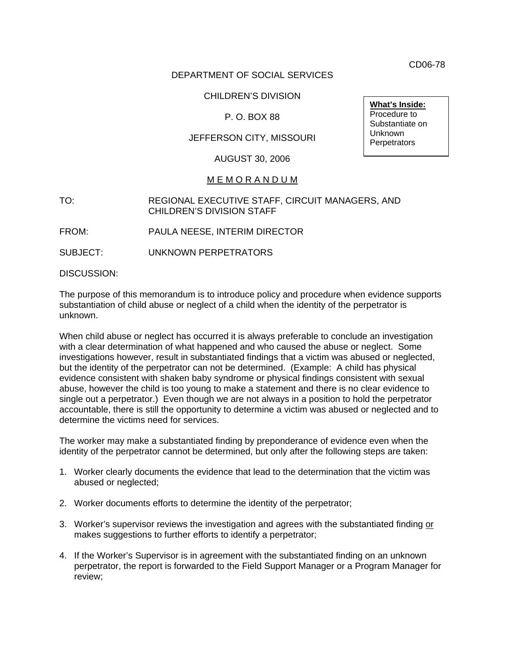CD06-78

# DEPARTMENT OF SOCIAL SERVICES

# CHILDREN'S DIVISION

# P. O. BOX 88

# JEFFERSON CITY, MISSOURI

### AUGUST 30, 2006

#### M E M O R A N D U M

## TO: REGIONAL EXECUTIVE STAFF, CIRCUIT MANAGERS, AND CHILDREN'S DIVISION STAFF

FROM: PAULA NEESE, INTERIM DIRECTOR

SUBJECT: UNKNOWN PERPETRATORS

DISCUSSION:

The purpose of this memorandum is to introduce policy and procedure when evidence supports substantiation of child abuse or neglect of a child when the identity of the perpetrator is unknown.

When child abuse or neglect has occurred it is always preferable to conclude an investigation with a clear determination of what happened and who caused the abuse or neglect. Some investigations however, result in substantiated findings that a victim was abused or neglected, but the identity of the perpetrator can not be determined. (Example: A child has physical evidence consistent with shaken baby syndrome or physical findings consistent with sexual abuse, however the child is too young to make a statement and there is no clear evidence to single out a perpetrator.) Even though we are not always in a position to hold the perpetrator accountable, there is still the opportunity to determine a victim was abused or neglected and to determine the victims need for services.

The worker may make a substantiated finding by preponderance of evidence even when the identity of the perpetrator cannot be determined, but only after the following steps are taken:

- 1. Worker clearly documents the evidence that lead to the determination that the victim was abused or neglected;
- 2. Worker documents efforts to determine the identity of the perpetrator;
- 3. Worker's supervisor reviews the investigation and agrees with the substantiated finding or makes suggestions to further efforts to identify a perpetrator;
- 4. If the Worker's Supervisor is in agreement with the substantiated finding on an unknown perpetrator, the report is forwarded to the Field Support Manager or a Program Manager for review;

**What's Inside:** Procedure to Substantiate on Unknown **Perpetrators**